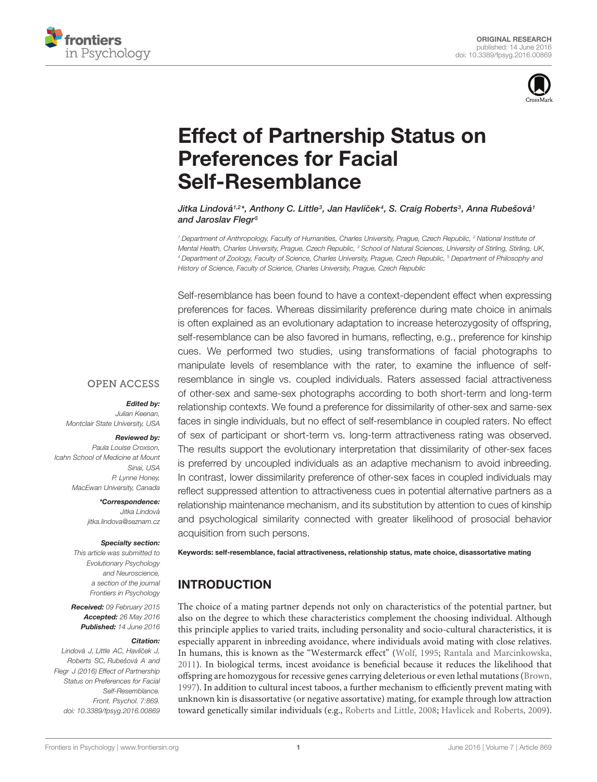



# [Effect of Partnership Status on](http://journal.frontiersin.org/article/10.3389/fpsyg.2016.00869/abstract) Preferences for Facial Self-Resemblance

[Jitka Lindová](http://loop.frontiersin.org/people/211717/overview)12\*, [Anthony C. Little](http://loop.frontiersin.org/people/3173/overview)<sup>3</sup>, Jan Havlíček<sup>4</sup>, [S. Craig Roberts](http://loop.frontiersin.org/people/25256/overview)<sup>3</sup>, Anna Rubešová1 and [Jaroslav Flegr](http://loop.frontiersin.org/people/157800/overview)<sup>5</sup>

<sup>1</sup> Department of Anthropology, Faculty of Humanities, Charles University, Prague, Czech Republic, <sup>2</sup> National Institute of Mental Health, Charles University, Prague, Czech Republic, <sup>3</sup> School of Natural Sciences, University of Stirling, Stirling, UK, <sup>4</sup> Department of Zoology, Faculty of Science, Charles University, Prague, Czech Republic, <sup>5</sup> Department of Philosophy and History of Science, Faculty of Science, Charles University, Prague, Czech Republic

Self-resemblance has been found to have a context-dependent effect when expressing preferences for faces. Whereas dissimilarity preference during mate choice in animals is often explained as an evolutionary adaptation to increase heterozygosity of offspring, self-resemblance can be also favored in humans, reflecting, e.g., preference for kinship cues. We performed two studies, using transformations of facial photographs to manipulate levels of resemblance with the rater, to examine the influence of selfresemblance in single vs. coupled individuals. Raters assessed facial attractiveness of other-sex and same-sex photographs according to both short-term and long-term relationship contexts. We found a preference for dissimilarity of other-sex and same-sex faces in single individuals, but no effect of self-resemblance in coupled raters. No effect of sex of participant or short-term vs. long-term attractiveness rating was observed. The results support the evolutionary interpretation that dissimilarity of other-sex faces is preferred by uncoupled individuals as an adaptive mechanism to avoid inbreeding. In contrast, lower dissimilarity preference of other-sex faces in coupled individuals may reflect suppressed attention to attractiveness cues in potential alternative partners as a relationship maintenance mechanism, and its substitution by attention to cues of kinship and psychological similarity connected with greater likelihood of prosocial behavior acquisition from such persons.

**OPEN ACCESS** 

#### Edited by:

Julian Keenan, Montclair State University, USA

#### Reviewed by:

Paula Louise Croxson, Icahn School of Medicine at Mount Sinai, USA P. Lynne Honey, MacEwan University, Canada

> \*Correspondence: Jitka Lindová jitka.lindova@seznam.cz

#### Specialty section:

This article was submitted to Evolutionary Psychology and Neuroscience, a section of the journal Frontiers in Psychology

Received: 09 February 2015 Accepted: 26 May 2016 Published: 14 June 2016

#### Citation:

Lindová J, Little AC, Havlíček J, Roberts SC, Rubešová A and Flegr J (2016) Effect of Partnership Status on Preferences for Facial Self-Resemblance. Front. Psychol. 7:869. doi: [10.3389/fpsyg.2016.00869](http://dx.doi.org/10.3389/fpsyg.2016.00869)

Keywords: self-resemblance, facial attractiveness, relationship status, mate choice, disassortative mating

# INTRODUCTION

The choice of a mating partner depends not only on characteristics of the potential partner, but also on the degree to which these characteristics complement the choosing individual. Although this principle applies to varied traits, including personality and socio-cultural characteristics, it is especially apparent in inbreeding avoidance, where individuals avoid mating with close relatives. In humans, this is known as the "Westermarck effect" [\(Wolf, 1995;](#page-11-0) [Rantala and Marcinkowska,](#page-11-1) [2011\)](#page-11-1). In biological terms, incest avoidance is beneficial because it reduces the likelihood that offspring are homozygous for recessive genes carrying deleterious or even lethal mutations [\(Brown,](#page-10-0) [1997\)](#page-10-0). In addition to cultural incest taboos, a further mechanism to efficiently prevent mating with unknown kin is disassortative (or negative assortative) mating, for example through low attraction toward genetically similar individuals (e.g., [Roberts and Little, 2008;](#page-11-2) [Havlicek and Roberts, 2009\)](#page-10-1).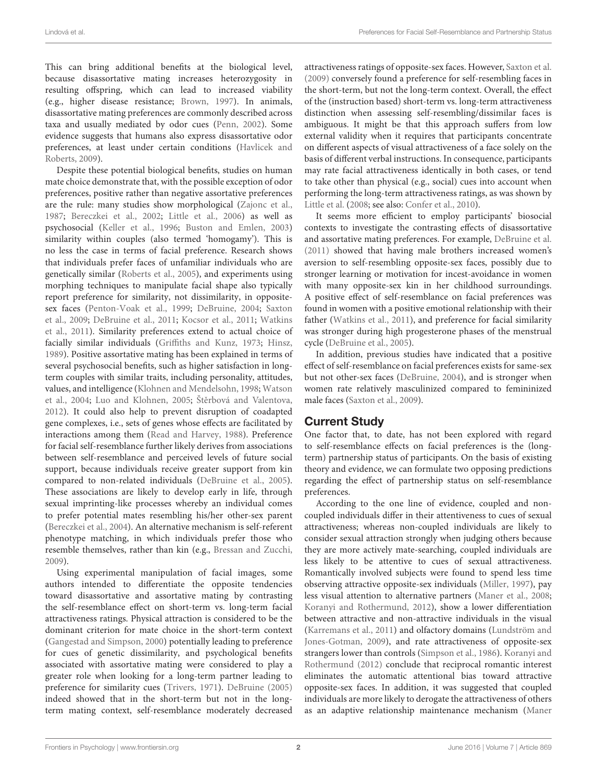This can bring additional benefits at the biological level, because disassortative mating increases heterozygosity in resulting offspring, which can lead to increased viability (e.g., higher disease resistance; [Brown,](#page-10-0) [1997\)](#page-10-0). In animals, disassortative mating preferences are commonly described across taxa and usually mediated by odor cues [\(Penn,](#page-10-2) [2002\)](#page-10-2). Some evidence suggests that humans also express disassortative odor preferences, at least under certain conditions [\(Havlicek and](#page-10-1) [Roberts,](#page-10-1) [2009\)](#page-10-1).

Despite these potential biological benefits, studies on human mate choice demonstrate that, with the possible exception of odor preferences, positive rather than negative assortative preferences are the rule: many studies show morphological [\(Zajonc et al.,](#page-11-3) [1987;](#page-11-3) [Bereczkei et al.,](#page-9-0) [2002;](#page-9-0) [Little et al.,](#page-10-3) [2006\)](#page-10-3) as well as psychosocial [\(Keller et al.,](#page-10-4) [1996;](#page-10-4) [Buston and Emlen,](#page-10-5) [2003\)](#page-10-5) similarity within couples (also termed 'homogamy'). This is no less the case in terms of facial preference. Research shows that individuals prefer faces of unfamiliar individuals who are genetically similar [\(Roberts et al.,](#page-11-4) [2005\)](#page-11-4), and experiments using morphing techniques to manipulate facial shape also typically report preference for similarity, not dissimilarity, in oppositesex faces [\(Penton-Voak et al.,](#page-11-5) [1999;](#page-11-5) [DeBruine,](#page-10-6) [2004;](#page-10-6) [Saxton](#page-11-6) [et al.,](#page-11-6) [2009;](#page-11-6) [DeBruine et al.,](#page-10-7) [2011;](#page-10-7) [Kocsor et al.,](#page-10-8) [2011;](#page-10-8) [Watkins](#page-11-7) [et al.,](#page-11-7) [2011\)](#page-11-7). Similarity preferences extend to actual choice of facially similar individuals [\(Griffiths and Kunz,](#page-10-9) [1973;](#page-10-9) [Hinsz,](#page-10-10) [1989\)](#page-10-10). Positive assortative mating has been explained in terms of several psychosocial benefits, such as higher satisfaction in longterm couples with similar traits, including personality, attitudes, values, and intelligence [\(Klohnen and Mendelsohn,](#page-10-11) [1998;](#page-10-11) [Watson](#page-11-8) [et al.,](#page-11-8) [2004;](#page-11-8) [Luo and Klohnen,](#page-10-12) [2005;](#page-10-12) Štěrbová and Valentova, [2012\)](#page-11-9). It could also help to prevent disruption of coadapted gene complexes, i.e., sets of genes whose effects are facilitated by interactions among them [\(Read and Harvey,](#page-11-10) [1988\)](#page-11-10). Preference for facial self-resemblance further likely derives from associations between self-resemblance and perceived levels of future social support, because individuals receive greater support from kin compared to non-related individuals [\(DeBruine et al.,](#page-10-13) [2005\)](#page-10-13). These associations are likely to develop early in life, through sexual imprinting-like processes whereby an individual comes to prefer potential mates resembling his/her other-sex parent [\(Bereczkei et al.,](#page-9-1) [2004\)](#page-9-1). An alternative mechanism is self-referent phenotype matching, in which individuals prefer those who resemble themselves, rather than kin (e.g., [Bressan and Zucchi,](#page-9-2) [2009\)](#page-9-2).

Using experimental manipulation of facial images, some authors intended to differentiate the opposite tendencies toward disassortative and assortative mating by contrasting the self-resemblance effect on short-term vs. long-term facial attractiveness ratings. Physical attraction is considered to be the dominant criterion for mate choice in the short-term context [\(Gangestad and Simpson,](#page-10-14) [2000\)](#page-10-14) potentially leading to preference for cues of genetic dissimilarity, and psychological benefits associated with assortative mating were considered to play a greater role when looking for a long-term partner leading to preference for similarity cues [\(Trivers,](#page-11-11) [1971\)](#page-11-11). [DeBruine](#page-10-15) [\(2005\)](#page-10-15) indeed showed that in the short-term but not in the longterm mating context, self-resemblance moderately decreased attractiveness ratings of opposite-sex faces. However, [Saxton et al.](#page-11-6) [\(2009\)](#page-11-6) conversely found a preference for self-resembling faces in the short-term, but not the long-term context. Overall, the effect of the (instruction based) short-term vs. long-term attractiveness distinction when assessing self-resembling/dissimilar faces is ambiguous. It might be that this approach suffers from low external validity when it requires that participants concentrate on different aspects of visual attractiveness of a face solely on the basis of different verbal instructions. In consequence, participants may rate facial attractiveness identically in both cases, or tend to take other than physical (e.g., social) cues into account when performing the long-term attractiveness ratings, as was shown by [Little et al.](#page-10-16) [\(2008;](#page-10-16) see also: [Confer et al.,](#page-10-17) [2010\)](#page-10-17).

It seems more efficient to employ participants' biosocial contexts to investigate the contrasting effects of disassortative and assortative mating preferences. For example, [DeBruine et al.](#page-10-7) [\(2011\)](#page-10-7) showed that having male brothers increased women's aversion to self-resembling opposite-sex faces, possibly due to stronger learning or motivation for incest-avoidance in women with many opposite-sex kin in her childhood surroundings. A positive effect of self-resemblance on facial preferences was found in women with a positive emotional relationship with their father [\(Watkins et al.,](#page-11-7) [2011\)](#page-11-7), and preference for facial similarity was stronger during high progesterone phases of the menstrual cycle [\(DeBruine et al.,](#page-10-13) [2005\)](#page-10-13).

In addition, previous studies have indicated that a positive effect of self-resemblance on facial preferences exists for same-sex but not other-sex faces [\(DeBruine,](#page-10-6) [2004\)](#page-10-6), and is stronger when women rate relatively masculinized compared to femininized male faces [\(Saxton et al.,](#page-11-6) [2009\)](#page-11-6).

# Current Study

One factor that, to date, has not been explored with regard to self-resemblance effects on facial preferences is the (longterm) partnership status of participants. On the basis of existing theory and evidence, we can formulate two opposing predictions regarding the effect of partnership status on self-resemblance preferences.

According to the one line of evidence, coupled and noncoupled individuals differ in their attentiveness to cues of sexual attractiveness; whereas non-coupled individuals are likely to consider sexual attraction strongly when judging others because they are more actively mate-searching, coupled individuals are less likely to be attentive to cues of sexual attractiveness. Romantically involved subjects were found to spend less time observing attractive opposite-sex individuals [\(Miller,](#page-10-18) [1997\)](#page-10-18), pay less visual attention to alternative partners [\(Maner et al.,](#page-10-19) [2008;](#page-10-19) [Koranyi and Rothermund,](#page-10-20) [2012\)](#page-10-20), show a lower differentiation between attractive and non-attractive individuals in the visual [\(Karremans et al.,](#page-10-21) [2011\)](#page-10-21) and olfactory domains [\(Lundström and](#page-10-22) [Jones-Gotman,](#page-10-22) [2009\)](#page-10-22), and rate attractiveness of opposite-sex strangers lower than controls [\(Simpson et al.,](#page-11-12) [1986\)](#page-11-12). [Koranyi and](#page-10-20) [Rothermund](#page-10-20) [\(2012\)](#page-10-20) conclude that reciprocal romantic interest eliminates the automatic attentional bias toward attractive opposite-sex faces. In addition, it was suggested that coupled individuals are more likely to derogate the attractiveness of others as an adaptive relationship maintenance mechanism [\(Maner](#page-10-23)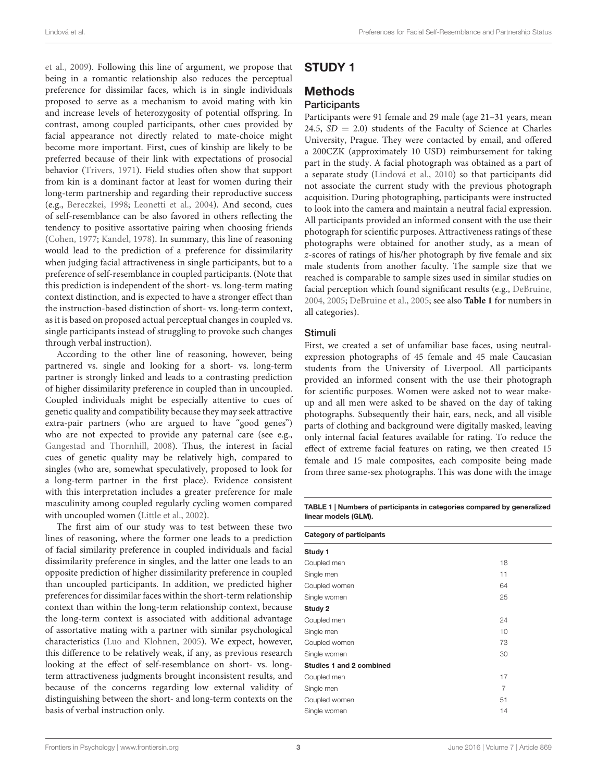[et al.,](#page-10-23) [2009\)](#page-10-23). Following this line of argument, we propose that being in a romantic relationship also reduces the perceptual preference for dissimilar faces, which is in single individuals proposed to serve as a mechanism to avoid mating with kin and increase levels of heterozygosity of potential offspring. In contrast, among coupled participants, other cues provided by facial appearance not directly related to mate-choice might become more important. First, cues of kinship are likely to be preferred because of their link with expectations of prosocial behavior [\(Trivers,](#page-11-11) [1971\)](#page-11-11). Field studies often show that support from kin is a dominant factor at least for women during their long-term partnership and regarding their reproductive success (e.g., [Bereczkei,](#page-9-3) [1998;](#page-9-3) [Leonetti et al.,](#page-10-24) [2004\)](#page-10-24). And second, cues of self-resemblance can be also favored in others reflecting the tendency to positive assortative pairing when choosing friends [\(Cohen,](#page-10-25) [1977;](#page-10-25) [Kandel,](#page-10-26) [1978\)](#page-10-26). In summary, this line of reasoning would lead to the prediction of a preference for dissimilarity when judging facial attractiveness in single participants, but to a preference of self-resemblance in coupled participants. (Note that this prediction is independent of the short- vs. long-term mating context distinction, and is expected to have a stronger effect than the instruction-based distinction of short- vs. long-term context, as it is based on proposed actual perceptual changes in coupled vs. single participants instead of struggling to provoke such changes through verbal instruction).

According to the other line of reasoning, however, being partnered vs. single and looking for a short- vs. long-term partner is strongly linked and leads to a contrasting prediction of higher dissimilarity preference in coupled than in uncoupled. Coupled individuals might be especially attentive to cues of genetic quality and compatibility because they may seek attractive extra-pair partners (who are argued to have "good genes") who are not expected to provide any paternal care (see e.g., [Gangestad and Thornhill,](#page-10-27) [2008\)](#page-10-27). Thus, the interest in facial cues of genetic quality may be relatively high, compared to singles (who are, somewhat speculatively, proposed to look for a long-term partner in the first place). Evidence consistent with this interpretation includes a greater preference for male masculinity among coupled regularly cycling women compared with uncoupled women [\(Little et al.,](#page-10-28) [2002\)](#page-10-28).

The first aim of our study was to test between these two lines of reasoning, where the former one leads to a prediction of facial similarity preference in coupled individuals and facial dissimilarity preference in singles, and the latter one leads to an opposite prediction of higher dissimilarity preference in coupled than uncoupled participants. In addition, we predicted higher preferences for dissimilar faces within the short-term relationship context than within the long-term relationship context, because the long-term context is associated with additional advantage of assortative mating with a partner with similar psychological characteristics [\(Luo and Klohnen,](#page-10-12) [2005\)](#page-10-12). We expect, however, this difference to be relatively weak, if any, as previous research looking at the effect of self-resemblance on short- vs. longterm attractiveness judgments brought inconsistent results, and because of the concerns regarding low external validity of distinguishing between the short- and long-term contexts on the basis of verbal instruction only.

# STUDY 1

# **Methods**

# **Participants**

Participants were 91 female and 29 male (age 21–31 years, mean 24.5,  $SD = 2.0$ ) students of the Faculty of Science at Charles University, Prague. They were contacted by email, and offered a 200CZK (approximately 10 USD) reimbursement for taking part in the study. A facial photograph was obtained as a part of a separate study [\(Lindová et al.,](#page-10-29) [2010\)](#page-10-29) so that participants did not associate the current study with the previous photograph acquisition. During photographing, participants were instructed to look into the camera and maintain a neutral facial expression. All participants provided an informed consent with the use their photograph for scientific purposes. Attractiveness ratings of these photographs were obtained for another study, as a mean of z-scores of ratings of his/her photograph by five female and six male students from another faculty. The sample size that we reached is comparable to sample sizes used in similar studies on facial perception which found significant results (e.g., [DeBruine,](#page-10-6) [2004,](#page-10-6) [2005;](#page-10-15) [DeBruine et al.,](#page-10-13) [2005;](#page-10-13) see also **[Table 1](#page-2-0)** for numbers in all categories).

## Stimuli

First, we created a set of unfamiliar base faces, using neutralexpression photographs of 45 female and 45 male Caucasian students from the University of Liverpool. All participants provided an informed consent with the use their photograph for scientific purposes. Women were asked not to wear makeup and all men were asked to be shaved on the day of taking photographs. Subsequently their hair, ears, neck, and all visible parts of clothing and background were digitally masked, leaving only internal facial features available for rating. To reduce the effect of extreme facial features on rating, we then created 15 female and 15 male composites, each composite being made from three same-sex photographs. This was done with the image

<span id="page-2-0"></span>TABLE 1 | Numbers of participants in categories compared by generalized linear models (GLM).

| <b>Category of participants</b> |    |
|---------------------------------|----|
| Study 1                         |    |
| Coupled men                     | 18 |
| Single men                      | 11 |
| Coupled women                   | 64 |
| Single women                    | 25 |
| Study 2                         |    |
| Coupled men                     | 24 |
| Single men                      | 10 |
| Coupled women                   | 73 |
| Single women                    | 30 |
| <b>Studies 1 and 2 combined</b> |    |
| Coupled men                     | 17 |
| Single men                      | 7  |
| Coupled women                   | 51 |
| Single women                    | 14 |
|                                 |    |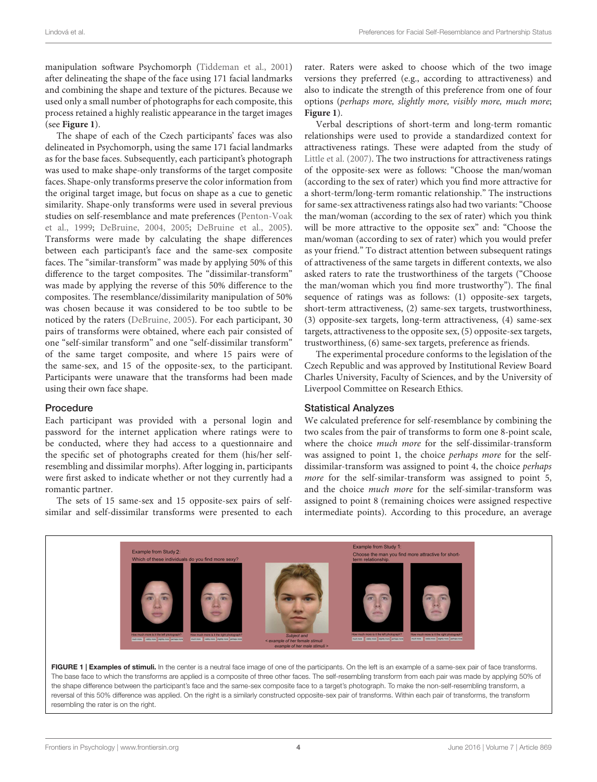manipulation software Psychomorph [\(Tiddeman et al.,](#page-11-13) [2001\)](#page-11-13) after delineating the shape of the face using 171 facial landmarks and combining the shape and texture of the pictures. Because we used only a small number of photographs for each composite, this process retained a highly realistic appearance in the target images (see **[Figure 1](#page-3-0)**).

The shape of each of the Czech participants' faces was also delineated in Psychomorph, using the same 171 facial landmarks as for the base faces. Subsequently, each participant's photograph was used to make shape-only transforms of the target composite faces. Shape-only transforms preserve the color information from the original target image, but focus on shape as a cue to genetic similarity. Shape-only transforms were used in several previous studies on self-resemblance and mate preferences [\(Penton-Voak](#page-11-5) [et al.,](#page-11-5) [1999;](#page-11-5) [DeBruine,](#page-10-6) [2004,](#page-10-6) [2005;](#page-10-15) [DeBruine et al.,](#page-10-13) [2005\)](#page-10-13). Transforms were made by calculating the shape differences between each participant's face and the same-sex composite faces. The "similar-transform" was made by applying 50% of this difference to the target composites. The "dissimilar-transform" was made by applying the reverse of this 50% difference to the composites. The resemblance/dissimilarity manipulation of 50% was chosen because it was considered to be too subtle to be noticed by the raters [\(DeBruine,](#page-10-15) [2005\)](#page-10-15). For each participant, 30 pairs of transforms were obtained, where each pair consisted of one "self-similar transform" and one "self-dissimilar transform" of the same target composite, and where 15 pairs were of the same-sex, and 15 of the opposite-sex, to the participant. Participants were unaware that the transforms had been made using their own face shape.

## Procedure

Each participant was provided with a personal login and password for the internet application where ratings were to be conducted, where they had access to a questionnaire and the specific set of photographs created for them (his/her selfresembling and dissimilar morphs). After logging in, participants were first asked to indicate whether or not they currently had a romantic partner.

The sets of 15 same-sex and 15 opposite-sex pairs of selfsimilar and self-dissimilar transforms were presented to each rater. Raters were asked to choose which of the two image versions they preferred (e.g., according to attractiveness) and also to indicate the strength of this preference from one of four options (perhaps more, slightly more, visibly more, much more; **[Figure 1](#page-3-0)**).

Verbal descriptions of short-term and long-term romantic relationships were used to provide a standardized context for attractiveness ratings. These were adapted from the study of [Little et al.](#page-10-30) [\(2007\)](#page-10-30). The two instructions for attractiveness ratings of the opposite-sex were as follows: "Choose the man/woman (according to the sex of rater) which you find more attractive for a short-term/long-term romantic relationship." The instructions for same-sex attractiveness ratings also had two variants: "Choose the man/woman (according to the sex of rater) which you think will be more attractive to the opposite sex" and: "Choose the man/woman (according to sex of rater) which you would prefer as your friend." To distract attention between subsequent ratings of attractiveness of the same targets in different contexts, we also asked raters to rate the trustworthiness of the targets ("Choose the man/woman which you find more trustworthy"). The final sequence of ratings was as follows: (1) opposite-sex targets, short-term attractiveness, (2) same-sex targets, trustworthiness, (3) opposite-sex targets, long-term attractiveness, (4) same-sex targets, attractiveness to the opposite sex, (5) opposite-sex targets, trustworthiness, (6) same-sex targets, preference as friends.

The experimental procedure conforms to the legislation of the Czech Republic and was approved by Institutional Review Board Charles University, Faculty of Sciences, and by the University of Liverpool Committee on Research Ethics.

## Statistical Analyzes

We calculated preference for self-resemblance by combining the two scales from the pair of transforms to form one 8-point scale, where the choice much more for the self-dissimilar-transform was assigned to point 1, the choice perhaps more for the selfdissimilar-transform was assigned to point 4, the choice perhaps more for the self-similar-transform was assigned to point 5, and the choice much more for the self-similar-transform was assigned to point 8 (remaining choices were assigned respective intermediate points). According to this procedure, an average



<span id="page-3-0"></span>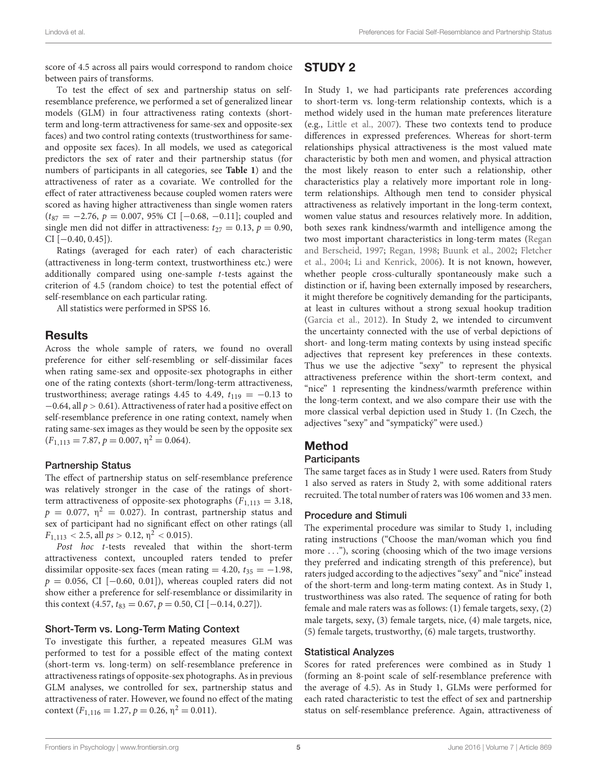score of 4.5 across all pairs would correspond to random choice between pairs of transforms.

To test the effect of sex and partnership status on selfresemblance preference, we performed a set of generalized linear models (GLM) in four attractiveness rating contexts (shortterm and long-term attractiveness for same-sex and opposite-sex faces) and two control rating contexts (trustworthiness for sameand opposite sex faces). In all models, we used as categorical predictors the sex of rater and their partnership status (for numbers of participants in all categories, see **[Table 1](#page-2-0)**) and the attractiveness of rater as a covariate. We controlled for the effect of rater attractiveness because coupled women raters were scored as having higher attractiveness than single women raters  $(t_{87} = -2.76, p = 0.007, 95\% \text{ CI } [-0.68, -0.11]; \text{ coupled and}$ single men did not differ in attractiveness:  $t_{27} = 0.13$ ,  $p = 0.90$ ,  $CI[-0.40, 0.45]$ .

Ratings (averaged for each rater) of each characteristic (attractiveness in long-term context, trustworthiness etc.) were additionally compared using one-sample t-tests against the criterion of 4.5 (random choice) to test the potential effect of self-resemblance on each particular rating.

All statistics were performed in SPSS 16.

# Results

Across the whole sample of raters, we found no overall preference for either self-resembling or self-dissimilar faces when rating same-sex and opposite-sex photographs in either one of the rating contexts (short-term/long-term attractiveness, trustworthiness; average ratings 4.45 to 4.49,  $t_{119} = -0.13$  to  $-0.64$ , all  $p > 0.61$ ). Attractiveness of rater had a positive effect on self-resemblance preference in one rating context, namely when rating same-sex images as they would be seen by the opposite sex  $(F_{1,113} = 7.87, p = 0.007, \eta^2 = 0.064).$ 

## Partnership Status

The effect of partnership status on self-resemblance preference was relatively stronger in the case of the ratings of shortterm attractiveness of opposite-sex photographs  $(F_{1,113} = 3.18,$  $p = 0.077$ ,  $\eta^2 = 0.027$ ). In contrast, partnership status and sex of participant had no significant effect on other ratings (all  $F_{1,113}$  < 2.5, all  $ps > 0.12$ ,  $\eta^2$  < 0.015).

Post hoc t-tests revealed that within the short-term attractiveness context, uncoupled raters tended to prefer dissimilar opposite-sex faces (mean rating = 4.20,  $t_{35} = -1.98$ ,  $p = 0.056$ , CI [-0.60, 0.01]), whereas coupled raters did not show either a preference for self-resemblance or dissimilarity in this context (4.57,  $t_{83} = 0.67$ ,  $p = 0.50$ , CI [-0.14, 0.27]).

## Short-Term vs. Long-Term Mating Context

To investigate this further, a repeated measures GLM was performed to test for a possible effect of the mating context (short-term vs. long-term) on self-resemblance preference in attractiveness ratings of opposite-sex photographs. As in previous GLM analyses, we controlled for sex, partnership status and attractiveness of rater. However, we found no effect of the mating context  $(F_{1,116} = 1.27, p = 0.26, \eta^2 = 0.011).$ 

# STUDY 2

In Study 1, we had participants rate preferences according to short-term vs. long-term relationship contexts, which is a method widely used in the human mate preferences literature (e.g., [Little et al.,](#page-10-30) [2007\)](#page-10-30). These two contexts tend to produce differences in expressed preferences. Whereas for short-term relationships physical attractiveness is the most valued mate characteristic by both men and women, and physical attraction the most likely reason to enter such a relationship, other characteristics play a relatively more important role in longterm relationships. Although men tend to consider physical attractiveness as relatively important in the long-term context, women value status and resources relatively more. In addition, both sexes rank kindness/warmth and intelligence among the two most important characteristics in long-term mates [\(Regan](#page-11-14) [and Berscheid,](#page-11-14) [1997;](#page-11-14) [Regan,](#page-11-15) [1998;](#page-11-15) [Buunk et al.,](#page-10-31) [2002;](#page-10-31) [Fletcher](#page-10-32) [et al.,](#page-10-32) [2004;](#page-10-32) [Li and Kenrick,](#page-10-33) [2006\)](#page-10-33). It is not known, however, whether people cross-culturally spontaneously make such a distinction or if, having been externally imposed by researchers, it might therefore be cognitively demanding for the participants, at least in cultures without a strong sexual hookup tradition [\(Garcia et al.,](#page-10-34) [2012\)](#page-10-34). In Study 2, we intended to circumvent the uncertainty connected with the use of verbal depictions of short- and long-term mating contexts by using instead specific adjectives that represent key preferences in these contexts. Thus we use the adjective "sexy" to represent the physical attractiveness preference within the short-term context, and "nice" 1 representing the kindness/warmth preference within the long-term context, and we also compare their use with the more classical verbal depiction used in Study 1. (In Czech, the adjectives "sexy" and "sympatický" were used.)

# Method

## **Participants**

The same target faces as in Study 1 were used. Raters from Study 1 also served as raters in Study 2, with some additional raters recruited. The total number of raters was 106 women and 33 men.

## Procedure and Stimuli

The experimental procedure was similar to Study 1, including rating instructions ("Choose the man/woman which you find more . . ."), scoring (choosing which of the two image versions they preferred and indicating strength of this preference), but raters judged according to the adjectives "sexy" and "nice" instead of the short-term and long-term mating context. As in Study 1, trustworthiness was also rated. The sequence of rating for both female and male raters was as follows: (1) female targets, sexy, (2) male targets, sexy, (3) female targets, nice, (4) male targets, nice, (5) female targets, trustworthy, (6) male targets, trustworthy.

## Statistical Analyzes

Scores for rated preferences were combined as in Study 1 (forming an 8-point scale of self-resemblance preference with the average of 4.5). As in Study 1, GLMs were performed for each rated characteristic to test the effect of sex and partnership status on self-resemblance preference. Again, attractiveness of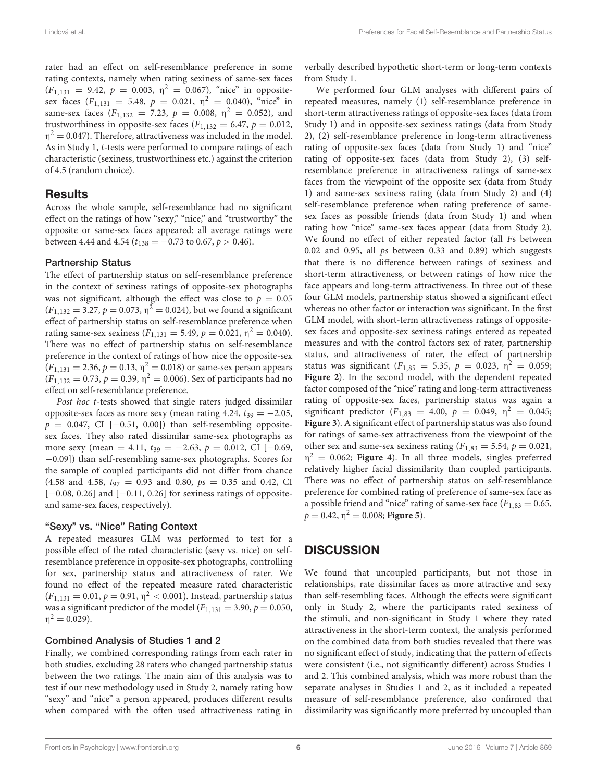rater had an effect on self-resemblance preference in some rating contexts, namely when rating sexiness of same-sex faces  $(F_{1,131} = 9.42, p = 0.003, \eta^2 = 0.067)$ , "nice" in oppositesex faces  $(F_{1,131} = 5.48, p = 0.021, \eta^2 = 0.040)$ , "nice" in same-sex faces ( $F_{1,132} = 7.23$ ,  $p = 0.008$ ,  $\eta^2 = 0.052$ ), and trustworthiness in opposite-sex faces  $(F_{1,132} = 6.47, p = 0.012,$  $\eta^2 = 0.047$ ). Therefore, attractiveness was included in the model. As in Study 1, t-tests were performed to compare ratings of each characteristic (sexiness, trustworthiness etc.) against the criterion of 4.5 (random choice).

# Results

Across the whole sample, self-resemblance had no significant effect on the ratings of how "sexy," "nice," and "trustworthy" the opposite or same-sex faces appeared: all average ratings were between 4.44 and 4.54 ( $t_{138} = -0.73$  to 0.67,  $p > 0.46$ ).

## Partnership Status

The effect of partnership status on self-resemblance preference in the context of sexiness ratings of opposite-sex photographs was not significant, although the effect was close to  $p = 0.05$  $(F_{1,132} = 3.27, p = 0.073, \eta^2 = 0.024)$ , but we found a significant effect of partnership status on self-resemblance preference when rating same-sex sexiness ( $F_{1,131} = 5.49$ ,  $p = 0.021$ ,  $\eta^2 = 0.040$ ). There was no effect of partnership status on self-resemblance preference in the context of ratings of how nice the opposite-sex  $(F_{1,131} = 2.36, p = 0.13, \eta^2 = 0.018)$  or same-sex person appears  $(F_{1,132} = 0.73, p = 0.39, \eta^2 = 0.006)$ . Sex of participants had no effect on self-resemblance preference.

Post hoc t-tests showed that single raters judged dissimilar opposite-sex faces as more sexy (mean rating 4.24,  $t_{39} = -2.05$ ,  $p = 0.047$ , CI [-0.51, 0.00]) than self-resembling oppositesex faces. They also rated dissimilar same-sex photographs as more sexy (mean = 4.11,  $t_{39} = -2.63$ ,  $p = 0.012$ , CI [-0.69, −0.09]) than self-resembling same-sex photographs. Scores for the sample of coupled participants did not differ from chance (4.58 and 4.58,  $t_{97} = 0.93$  and 0.80,  $ps = 0.35$  and 0.42, CI  $[-0.08, 0.26]$  and  $[-0.11, 0.26]$  for sexiness ratings of oppositeand same-sex faces, respectively).

## "Sexy" vs. "Nice" Rating Context

A repeated measures GLM was performed to test for a possible effect of the rated characteristic (sexy vs. nice) on selfresemblance preference in opposite-sex photographs, controlling for sex, partnership status and attractiveness of rater. We found no effect of the repeated measure rated characteristic  $(F_{1,131} = 0.01, p = 0.91, \eta^2 < 0.001)$ . Instead, partnership status was a significant predictor of the model ( $F_{1,131} = 3.90, p = 0.050$ ,  $\eta^2 = 0.029$ ).

## Combined Analysis of Studies 1 and 2

Finally, we combined corresponding ratings from each rater in both studies, excluding 28 raters who changed partnership status between the two ratings. The main aim of this analysis was to test if our new methodology used in Study 2, namely rating how "sexy" and "nice" a person appeared, produces different results when compared with the often used attractiveness rating in

verbally described hypothetic short-term or long-term contexts from Study 1.

We performed four GLM analyses with different pairs of repeated measures, namely (1) self-resemblance preference in short-term attractiveness ratings of opposite-sex faces (data from Study 1) and in opposite-sex sexiness ratings (data from Study 2), (2) self-resemblance preference in long-term attractiveness rating of opposite-sex faces (data from Study 1) and "nice" rating of opposite-sex faces (data from Study 2), (3) selfresemblance preference in attractiveness ratings of same-sex faces from the viewpoint of the opposite sex (data from Study 1) and same-sex sexiness rating (data from Study 2) and (4) self-resemblance preference when rating preference of samesex faces as possible friends (data from Study 1) and when rating how "nice" same-sex faces appear (data from Study 2). We found no effect of either repeated factor (all Fs between 0.02 and 0.95, all  $ps$  between 0.33 and 0.89) which suggests that there is no difference between ratings of sexiness and short-term attractiveness, or between ratings of how nice the face appears and long-term attractiveness. In three out of these four GLM models, partnership status showed a significant effect whereas no other factor or interaction was significant. In the first GLM model, with short-term attractiveness ratings of oppositesex faces and opposite-sex sexiness ratings entered as repeated measures and with the control factors sex of rater, partnership status, and attractiveness of rater, the effect of partnership status was significant ( $F_{1,85} = 5.35, p = 0.023, \eta^2 = 0.059;$ **[Figure 2](#page-6-0)**). In the second model, with the dependent repeated factor composed of the "nice" rating and long-term attractiveness rating of opposite-sex faces, partnership status was again a significant predictor ( $F_{1,83} = 4.00, p = 0.049, \eta^2 = 0.045;$ **[Figure 3](#page-6-1)**). A significant effect of partnership status was also found for ratings of same-sex attractiveness from the viewpoint of the other sex and same-sex sexiness rating ( $F_{1,83} = 5.54$ ,  $p = 0.021$ ,  $\eta^2 = 0.062$ ; [Figure 4](#page-7-0)). In all three models, singles preferred relatively higher facial dissimilarity than coupled participants. There was no effect of partnership status on self-resemblance preference for combined rating of preference of same-sex face as a possible friend and "nice" rating of same-sex face  $(F_{1,83} = 0.65,$  $p = 0.42$ ,  $\eta^2 = 0.008$ ; **[Figure 5](#page-7-1)**).

# **DISCUSSION**

We found that uncoupled participants, but not those in relationships, rate dissimilar faces as more attractive and sexy than self-resembling faces. Although the effects were significant only in Study 2, where the participants rated sexiness of the stimuli, and non-significant in Study 1 where they rated attractiveness in the short-term context, the analysis performed on the combined data from both studies revealed that there was no significant effect of study, indicating that the pattern of effects were consistent (i.e., not significantly different) across Studies 1 and 2. This combined analysis, which was more robust than the separate analyses in Studies 1 and 2, as it included a repeated measure of self-resemblance preference, also confirmed that dissimilarity was significantly more preferred by uncoupled than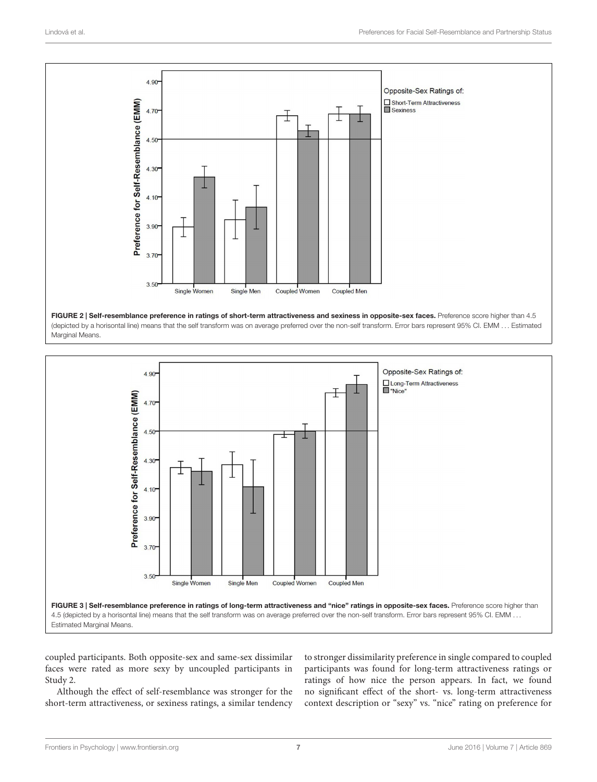

<span id="page-6-0"></span>(depicted by a horisontal line) means that the self transform was on average preferred over the non-self transform. Error bars represent 95% CI. EMM . . . Estimated Marginal Means.



<span id="page-6-1"></span>coupled participants. Both opposite-sex and same-sex dissimilar faces were rated as more sexy by uncoupled participants in Study 2.

Although the effect of self-resemblance was stronger for the short-term attractiveness, or sexiness ratings, a similar tendency to stronger dissimilarity preference in single compared to coupled participants was found for long-term attractiveness ratings or ratings of how nice the person appears. In fact, we found no significant effect of the short- vs. long-term attractiveness context description or "sexy" vs. "nice" rating on preference for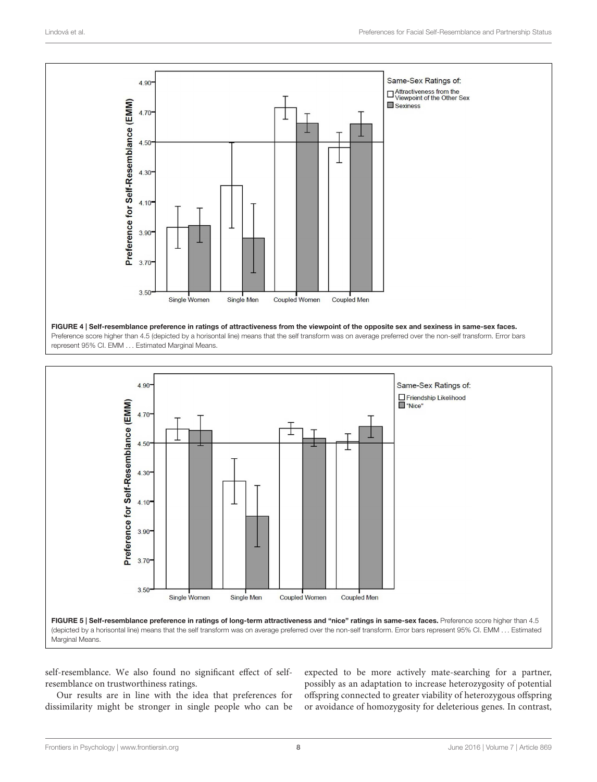

<span id="page-7-0"></span>represent 95% CI. EMM . . . Estimated Marginal Means.



<span id="page-7-1"></span>self-resemblance. We also found no significant effect of selfresemblance on trustworthiness ratings.

Our results are in line with the idea that preferences for dissimilarity might be stronger in single people who can be

expected to be more actively mate-searching for a partner, possibly as an adaptation to increase heterozygosity of potential offspring connected to greater viability of heterozygous offspring or avoidance of homozygosity for deleterious genes. In contrast,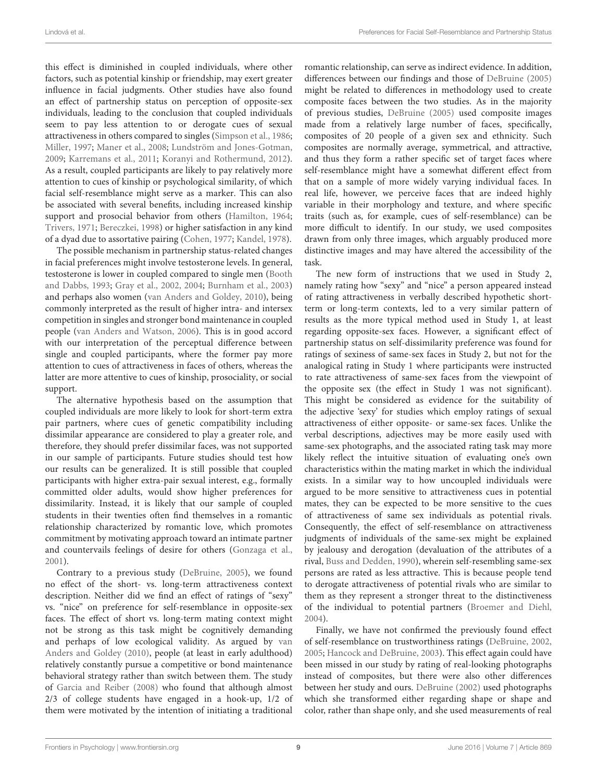this effect is diminished in coupled individuals, where other factors, such as potential kinship or friendship, may exert greater influence in facial judgments. Other studies have also found an effect of partnership status on perception of opposite-sex individuals, leading to the conclusion that coupled individuals seem to pay less attention to or derogate cues of sexual attractiveness in others compared to singles [\(Simpson et al.,](#page-11-12) [1986;](#page-11-12) [Miller,](#page-10-18) [1997;](#page-10-18) [Maner et al.,](#page-10-19) [2008;](#page-10-19) [Lundström and Jones-Gotman,](#page-10-22) [2009;](#page-10-22) [Karremans et al.,](#page-10-21) [2011;](#page-10-21) [Koranyi and Rothermund,](#page-10-20) [2012\)](#page-10-20). As a result, coupled participants are likely to pay relatively more attention to cues of kinship or psychological similarity, of which facial self-resemblance might serve as a marker. This can also be associated with several benefits, including increased kinship support and prosocial behavior from others [\(Hamilton,](#page-10-35) [1964;](#page-10-35) [Trivers,](#page-11-11) [1971;](#page-11-11) [Bereczkei,](#page-9-3) [1998\)](#page-9-3) or higher satisfaction in any kind of a dyad due to assortative pairing [\(Cohen,](#page-10-25) [1977;](#page-10-25) [Kandel,](#page-10-26) [1978\)](#page-10-26).

The possible mechanism in partnership status-related changes in facial preferences might involve testosterone levels. In general, testosterone is lower in coupled compared to single men [\(Booth](#page-9-4) [and Dabbs,](#page-9-4) [1993;](#page-9-4) [Gray et al.,](#page-10-36) [2002,](#page-10-36) [2004;](#page-10-37) [Burnham et al.,](#page-10-38) [2003\)](#page-10-38) and perhaps also women [\(van Anders and Goldey,](#page-11-16) [2010\)](#page-11-16), being commonly interpreted as the result of higher intra- and intersex competition in singles and stronger bond maintenance in coupled people [\(van Anders and Watson,](#page-11-17) [2006\)](#page-11-17). This is in good accord with our interpretation of the perceptual difference between single and coupled participants, where the former pay more attention to cues of attractiveness in faces of others, whereas the latter are more attentive to cues of kinship, prosociality, or social support.

The alternative hypothesis based on the assumption that coupled individuals are more likely to look for short-term extra pair partners, where cues of genetic compatibility including dissimilar appearance are considered to play a greater role, and therefore, they should prefer dissimilar faces, was not supported in our sample of participants. Future studies should test how our results can be generalized. It is still possible that coupled participants with higher extra-pair sexual interest, e.g., formally committed older adults, would show higher preferences for dissimilarity. Instead, it is likely that our sample of coupled students in their twenties often find themselves in a romantic relationship characterized by romantic love, which promotes commitment by motivating approach toward an intimate partner and countervails feelings of desire for others [\(Gonzaga et al.,](#page-10-39) [2001\)](#page-10-39).

Contrary to a previous study [\(DeBruine,](#page-10-15) [2005\)](#page-10-15), we found no effect of the short- vs. long-term attractiveness context description. Neither did we find an effect of ratings of "sexy" vs. "nice" on preference for self-resemblance in opposite-sex faces. The effect of short vs. long-term mating context might not be strong as this task might be cognitively demanding and perhaps of low ecological validity. As argued by [van](#page-11-16) [Anders and Goldey](#page-11-16) [\(2010\)](#page-11-16), people (at least in early adulthood) relatively constantly pursue a competitive or bond maintenance behavioral strategy rather than switch between them. The study of [Garcia and Reiber](#page-10-40) [\(2008\)](#page-10-40) who found that although almost 2/3 of college students have engaged in a hook-up, 1/2 of them were motivated by the intention of initiating a traditional

romantic relationship, can serve as indirect evidence. In addition, differences between our findings and those of [DeBruine](#page-10-15) [\(2005\)](#page-10-15) might be related to differences in methodology used to create composite faces between the two studies. As in the majority of previous studies, [DeBruine](#page-10-15) [\(2005\)](#page-10-15) used composite images made from a relatively large number of faces, specifically, composites of 20 people of a given sex and ethnicity. Such composites are normally average, symmetrical, and attractive, and thus they form a rather specific set of target faces where self-resemblance might have a somewhat different effect from that on a sample of more widely varying individual faces. In real life, however, we perceive faces that are indeed highly variable in their morphology and texture, and where specific traits (such as, for example, cues of self-resemblance) can be more difficult to identify. In our study, we used composites drawn from only three images, which arguably produced more distinctive images and may have altered the accessibility of the task.

The new form of instructions that we used in Study 2, namely rating how "sexy" and "nice" a person appeared instead of rating attractiveness in verbally described hypothetic shortterm or long-term contexts, led to a very similar pattern of results as the more typical method used in Study 1, at least regarding opposite-sex faces. However, a significant effect of partnership status on self-dissimilarity preference was found for ratings of sexiness of same-sex faces in Study 2, but not for the analogical rating in Study 1 where participants were instructed to rate attractiveness of same-sex faces from the viewpoint of the opposite sex (the effect in Study 1 was not significant). This might be considered as evidence for the suitability of the adjective 'sexy' for studies which employ ratings of sexual attractiveness of either opposite- or same-sex faces. Unlike the verbal descriptions, adjectives may be more easily used with same-sex photographs, and the associated rating task may more likely reflect the intuitive situation of evaluating one's own characteristics within the mating market in which the individual exists. In a similar way to how uncoupled individuals were argued to be more sensitive to attractiveness cues in potential mates, they can be expected to be more sensitive to the cues of attractiveness of same sex individuals as potential rivals. Consequently, the effect of self-resemblance on attractiveness judgments of individuals of the same-sex might be explained by jealousy and derogation (devaluation of the attributes of a rival, [Buss and Dedden,](#page-10-41) [1990\)](#page-10-41), wherein self-resembling same-sex persons are rated as less attractive. This is because people tend to derogate attractiveness of potential rivals who are similar to them as they represent a stronger threat to the distinctiveness of the individual to potential partners [\(Broemer and Diehl,](#page-10-42) [2004\)](#page-10-42).

Finally, we have not confirmed the previously found effect of self-resemblance on trustworthiness ratings [\(DeBruine,](#page-10-43) [2002,](#page-10-43) [2005;](#page-10-15) [Hancock and DeBruine,](#page-10-44) [2003\)](#page-10-44). This effect again could have been missed in our study by rating of real-looking photographs instead of composites, but there were also other differences between her study and ours. [DeBruine](#page-10-43) [\(2002\)](#page-10-43) used photographs which she transformed either regarding shape or shape and color, rather than shape only, and she used measurements of real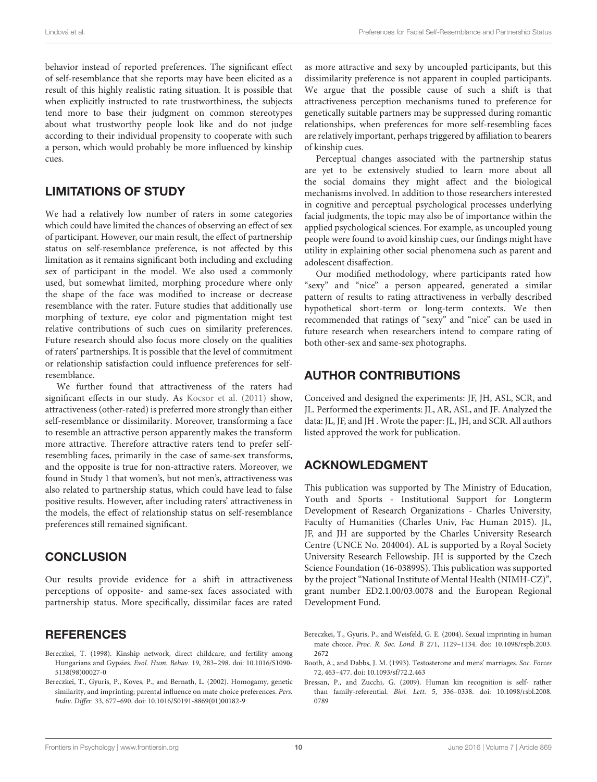behavior instead of reported preferences. The significant effect of self-resemblance that she reports may have been elicited as a result of this highly realistic rating situation. It is possible that when explicitly instructed to rate trustworthiness, the subjects tend more to base their judgment on common stereotypes about what trustworthy people look like and do not judge according to their individual propensity to cooperate with such a person, which would probably be more influenced by kinship cues.

# LIMITATIONS OF STUDY

We had a relatively low number of raters in some categories which could have limited the chances of observing an effect of sex of participant. However, our main result, the effect of partnership status on self-resemblance preference, is not affected by this limitation as it remains significant both including and excluding sex of participant in the model. We also used a commonly used, but somewhat limited, morphing procedure where only the shape of the face was modified to increase or decrease resemblance with the rater. Future studies that additionally use morphing of texture, eye color and pigmentation might test relative contributions of such cues on similarity preferences. Future research should also focus more closely on the qualities of raters' partnerships. It is possible that the level of commitment or relationship satisfaction could influence preferences for selfresemblance.

We further found that attractiveness of the raters had significant effects in our study. As [Kocsor et al.](#page-10-8) [\(2011\)](#page-10-8) show, attractiveness (other-rated) is preferred more strongly than either self-resemblance or dissimilarity. Moreover, transforming a face to resemble an attractive person apparently makes the transform more attractive. Therefore attractive raters tend to prefer selfresembling faces, primarily in the case of same-sex transforms, and the opposite is true for non-attractive raters. Moreover, we found in Study 1 that women's, but not men's, attractiveness was also related to partnership status, which could have lead to false positive results. However, after including raters' attractiveness in the models, the effect of relationship status on self-resemblance preferences still remained significant.

# **CONCLUSION**

Our results provide evidence for a shift in attractiveness perceptions of opposite- and same-sex faces associated with partnership status. More specifically, dissimilar faces are rated

# **REFERENCES**

- <span id="page-9-3"></span>Bereczkei, T. (1998). Kinship network, direct childcare, and fertility among Hungarians and Gypsies. Evol. Hum. Behav. 19, 283–298. doi: 10.1016/S1090- 5138(98)00027-0
- <span id="page-9-0"></span>Bereczkei, T., Gyuris, P., Koves, P., and Bernath, L. (2002). Homogamy, genetic similarity, and imprinting; parental influence on mate choice preferences. Pers. Indiv. Differ. 33, 677–690. doi: 10.1016/S0191-8869(01)00182-9

as more attractive and sexy by uncoupled participants, but this dissimilarity preference is not apparent in coupled participants. We argue that the possible cause of such a shift is that attractiveness perception mechanisms tuned to preference for genetically suitable partners may be suppressed during romantic relationships, when preferences for more self-resembling faces are relatively important, perhaps triggered by affiliation to bearers of kinship cues.

Perceptual changes associated with the partnership status are yet to be extensively studied to learn more about all the social domains they might affect and the biological mechanisms involved. In addition to those researchers interested in cognitive and perceptual psychological processes underlying facial judgments, the topic may also be of importance within the applied psychological sciences. For example, as uncoupled young people were found to avoid kinship cues, our findings might have utility in explaining other social phenomena such as parent and adolescent disaffection.

Our modified methodology, where participants rated how "sexy" and "nice" a person appeared, generated a similar pattern of results to rating attractiveness in verbally described hypothetical short-term or long-term contexts. We then recommended that ratings of "sexy" and "nice" can be used in future research when researchers intend to compare rating of both other-sex and same-sex photographs.

# AUTHOR CONTRIBUTIONS

Conceived and designed the experiments: JF, JH, ASL, SCR, and JL. Performed the experiments: JL, AR, ASL, and JF. Analyzed the data: JL, JF, and JH . Wrote the paper: JL, JH, and SCR. All authors listed approved the work for publication.

# ACKNOWLEDGMENT

This publication was supported by The Ministry of Education, Youth and Sports - Institutional Support for Longterm Development of Research Organizations - Charles University, Faculty of Humanities (Charles Univ, Fac Human 2015). JL, JF, and JH are supported by the Charles University Research Centre (UNCE No. 204004). AL is supported by a Royal Society University Research Fellowship. JH is supported by the Czech Science Foundation (16-03899S). This publication was supported by the project "National Institute of Mental Health (NIMH-CZ)", grant number ED2.1.00/03.0078 and the European Regional Development Fund.

<span id="page-9-1"></span>Bereczkei, T., Gyuris, P., and Weisfeld, G. E. (2004). Sexual imprinting in human mate choice. Proc. R. Soc. Lond. B 271, 1129–1134. doi: 10.1098/rspb.2003. 2672

- <span id="page-9-4"></span>Booth, A., and Dabbs, J. M. (1993). Testosterone and mens' marriages. Soc. Forces 72, 463–477. doi: 10.1093/sf/72.2.463
- <span id="page-9-2"></span>Bressan, P., and Zucchi, G. (2009). Human kin recognition is self- rather than family-referential. Biol. Lett. 5, 336–0338. doi: 10.1098/rsbl.2008. 0789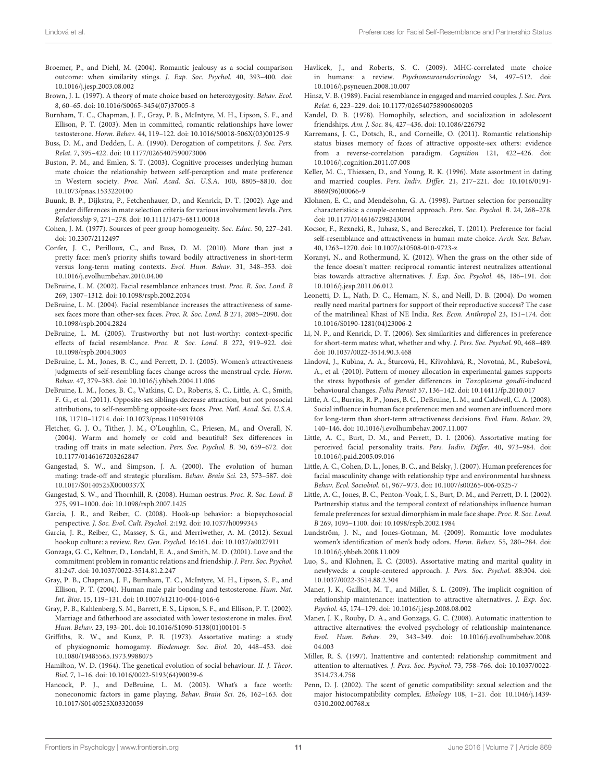- <span id="page-10-42"></span>Broemer, P., and Diehl, M. (2004). Romantic jealousy as a social comparison outcome: when similarity stings. J. Exp. Soc. Psychol. 40, 393–400. doi: 10.1016/j.jesp.2003.08.002
- <span id="page-10-0"></span>Brown, J. L. (1997). A theory of mate choice based on heterozygosity. Behav. Ecol. 8, 60–65. doi: 10.1016/S0065-3454(07)37005-8
- <span id="page-10-38"></span>Burnham, T. C., Chapman, J. F., Gray, P. B., McIntyre, M. H., Lipson, S. F., and Ellison, P. T. (2003). Men in committed, romantic relationships have lower testosterone. Horm. Behav. 44, 119–122. doi: 10.1016/S0018-506X(03)00125-9
- <span id="page-10-41"></span>Buss, D. M., and Dedden, L. A. (1990). Derogation of competitors. J. Soc. Pers. Relat. 7, 395–422. doi: 10.1177/0265407590073006
- <span id="page-10-5"></span>Buston, P. M., and Emlen, S. T. (2003). Cognitive processes underlying human mate choice: the relationship between self-perception and mate preference in Western society. Proc. Natl. Acad. Sci. U.S.A. 100, 8805–8810. doi: 10.1073/pnas.1533220100
- <span id="page-10-31"></span>Buunk, B. P., Dijkstra, P., Fetchenhauer, D., and Kenrick, D. T. (2002). Age and gender differences in mate selection criteria for various involvement levels. Pers. Relationship 9, 271–278. doi: 10.1111/1475-6811.00018
- <span id="page-10-25"></span>Cohen, J. M. (1977). Sources of peer group homogeneity. Soc. Educ. 50, 227–241. doi: 10.2307/2112497
- <span id="page-10-17"></span>Confer, J. C., Perilloux, C., and Buss, D. M. (2010). More than just a pretty face: men's priority shifts toward bodily attractiveness in short-term versus long-term mating contexts. Evol. Hum. Behav. 31, 348–353. doi: 10.1016/j.evolhumbehav.2010.04.00
- <span id="page-10-43"></span>DeBruine, L. M. (2002). Facial resemblance enhances trust. Proc. R. Soc. Lond. B 269, 1307–1312. doi: 10.1098/rspb.2002.2034
- <span id="page-10-6"></span>DeBruine, L. M. (2004). Facial resemblance increases the attractiveness of samesex faces more than other-sex faces. Proc. R. Soc. Lond. B 271, 2085–2090. doi: 10.1098/rspb.2004.2824
- <span id="page-10-15"></span>DeBruine, L. M. (2005). Trustworthy but not lust-worthy: context-specific effects of facial resemblance. Proc. R. Soc. Lond. B 272, 919–922. doi: 10.1098/rspb.2004.3003
- <span id="page-10-13"></span>DeBruine, L. M., Jones, B. C., and Perrett, D. I. (2005). Women's attractiveness judgments of self-resembling faces change across the menstrual cycle. Horm. Behav. 47, 379–383. doi: 10.1016/j.yhbeh.2004.11.006
- <span id="page-10-7"></span>DeBruine, L. M., Jones, B. C., Watkins, C. D., Roberts, S. C., Little, A. C., Smith, F. G., et al. (2011). Opposite-sex siblings decrease attraction, but not prosocial attributions, to self-resembling opposite-sex faces. Proc. Natl. Acad. Sci. U.S.A. 108, 11710–11714. doi: 10.1073/pnas.1105919108
- <span id="page-10-32"></span>Fletcher, G. J. O., Tither, J. M., O'Loughlin, C., Friesen, M., and Overall, N. (2004). Warm and homely or cold and beautiful? Sex differences in trading off traits in mate selection. Pers. Soc. Psychol. B. 30, 659–672. doi: 10.1177/0146167203262847
- <span id="page-10-14"></span>Gangestad, S. W., and Simpson, J. A. (2000). The evolution of human mating: trade-off and strategic pluralism. Behav. Brain Sci. 23, 573–587. doi: 10.1017/S0140525X0000337X
- <span id="page-10-27"></span>Gangestad, S. W., and Thornhill, R. (2008). Human oestrus. Proc. R. Soc. Lond. B 275, 991–1000. doi: 10.1098/rspb.2007.1425
- <span id="page-10-40"></span>Garcia, J. R., and Reiber, C. (2008). Hook-up behavior: a biopsychosocial perspective. J. Soc. Evol. Cult. Psychol. 2:192. doi: 10.1037/h0099345
- <span id="page-10-34"></span>Garcia, J. R., Reiber, C., Massey, S. G., and Merriwether, A. M. (2012). Sexual hookup culture: a review. Rev. Gen. Psychol. 16:161. doi: 10.1037/a0027911
- <span id="page-10-39"></span>Gonzaga, G. C., Keltner, D., Londahl, E. A., and Smith, M. D. (2001). Love and the commitment problem in romantic relations and friendship. J. Pers. Soc. Psychol. 81:247. doi: 10.1037/0022-3514.81.2.247
- <span id="page-10-37"></span>Gray, P. B., Chapman, J. F., Burnham, T. C., McIntyre, M. H., Lipson, S. F., and Ellison, P. T. (2004). Human male pair bonding and testosterone. Hum. Nat. Int. Bios. 15, 119–131. doi: 10.1007/s12110-004-1016-6
- <span id="page-10-36"></span>Gray, P. B., Kahlenberg, S. M., Barrett, E. S., Lipson, S. F., and Ellison, P. T. (2002). Marriage and fatherhood are associated with lower testosterone in males. Evol. Hum. Behav. 23, 193–201. doi: 10.1016/S1090-5138(01)00101-5
- <span id="page-10-9"></span>Griffiths, R. W., and Kunz, P. R. (1973). Assortative mating: a study of physiognomic homogamy. Biodemogr. Soc. Biol. 20, 448–453. doi: 10.1080/19485565.1973.9988075
- <span id="page-10-35"></span>Hamilton, W. D. (1964). The genetical evolution of social behaviour. II. J. Theor. Biol. 7, 1–16. doi: 10.1016/0022-5193(64)90039-6
- <span id="page-10-44"></span>Hancock, P. J., and DeBruine, L. M. (2003). What's a face worth: noneconomic factors in game playing. Behav. Brain Sci. 26, 162–163. doi: 10.1017/S0140525X03320059
- <span id="page-10-1"></span>Havlicek, J., and Roberts, S. C. (2009). MHC-correlated mate choice in humans: a review. Psychoneuroendocrinology 34, 497–512. doi: 10.1016/j.psyneuen.2008.10.007
- <span id="page-10-10"></span>Hinsz, V. B. (1989). Facial resemblance in engaged and married couples. J. Soc. Pers. Relat. 6, 223–229. doi: 10.1177/026540758900600205
- <span id="page-10-26"></span>Kandel, D. B. (1978). Homophily, selection, and socialization in adolescent friendships. Am. J. Soc. 84, 427–436. doi: 10.1086/226792
- <span id="page-10-21"></span>Karremans, J. C., Dotsch, R., and Corneille, O. (2011). Romantic relationship status biases memory of faces of attractive opposite-sex others: evidence from a reverse-correlation paradigm. Cognition 121, 422–426. doi: 10.1016/j.cognition.2011.07.008
- <span id="page-10-4"></span>Keller, M. C., Thiessen, D., and Young, R. K. (1996). Mate assortment in dating and married couples. Pers. Indiv. Differ. 21, 217–221. doi: 10.1016/0191- 8869(96)00066-9
- <span id="page-10-11"></span>Klohnen, E. C., and Mendelsohn, G. A. (1998). Partner selection for personality characteristics: a couple-centered approach. Pers. Soc. Psychol. B. 24, 268–278. doi: 10.1177/0146167298243004
- <span id="page-10-8"></span>Kocsor, F., Rexneki, R., Juhasz, S., and Bereczkei, T. (2011). Preference for facial self-resemblance and attractiveness in human mate choice. Arch. Sex. Behav. 40, 1263–1270. doi: 10.1007/s10508-010-9723-z
- <span id="page-10-20"></span>Koranyi, N., and Rothermund, K. (2012). When the grass on the other side of the fence doesn't matter: reciprocal romantic interest neutralizes attentional bias towards attractive alternatives. J. Exp. Soc. Psychol. 48, 186–191. doi: 10.1016/j.jesp.2011.06.012
- <span id="page-10-24"></span>Leonetti, D. L., Nath, D. C., Hemam, N. S., and Neill, D. B. (2004). Do women really need marital partners for support of their reproductive success? The case of the matrilineal Khasi of NE India. Res. Econ. Anthropol 23, 151–174. doi: 10.1016/S0190-1281(04)23006-2
- <span id="page-10-33"></span>Li, N. P., and Kenrick, D. T. (2006). Sex similarities and differences in preference for short-term mates: what, whether and why. J. Pers. Soc. Psychol. 90, 468–489. doi: 10.1037/0022-3514.90.3.468
- <span id="page-10-29"></span>Lindová, J., Kubìna, A. A., Šturcová, H., Křivohlavá, R., Novotná, M., Rubešová, A., et al. (2010). Pattern of money allocation in experimental games supports the stress hypothesis of gender differences in Toxoplasma gondii-induced behavioural changes. Folia Parasit 57, 136–142. doi: 10.14411/fp.2010.017
- <span id="page-10-16"></span>Little, A. C., Burriss, R. P., Jones, B. C., DeBruine, L. M., and Caldwell, C. A. (2008). Social influence in human face preference: men and women are influenced more for long-term than short-term attractiveness decisions. Evol. Hum. Behav. 29, 140–146. doi: 10.1016/j.evolhumbehav.2007.11.007
- <span id="page-10-3"></span>Little, A. C., Burt, D. M., and Perrett, D. I. (2006). Assortative mating for perceived facial personality traits. Pers. Indiv. Differ. 40, 973–984. doi: 10.1016/j.paid.2005.09.016
- <span id="page-10-30"></span>Little, A. C., Cohen, D. L., Jones, B. C., and Belsky, J. (2007). Human preferences for facial masculinity change with relationship type and environmental harshness. Behav. Ecol. Sociobiol. 61, 967–973. doi: 10.1007/s00265-006-0325-7
- <span id="page-10-28"></span>Little, A. C., Jones, B. C., Penton-Voak, I. S., Burt, D. M., and Perrett, D. I. (2002). Partnership status and the temporal context of relationships influence human female preferences for sexual dimorphism in male face shape. Proc. R. Soc. Lond. B 269, 1095–1100. doi: 10.1098/rspb.2002.1984
- <span id="page-10-22"></span>Lundström, J. N., and Jones-Gotman, M. (2009). Romantic love modulates women's identification of men's body odors. Horm. Behav. 55, 280–284. doi: 10.1016/j.yhbeh.2008.11.009
- <span id="page-10-12"></span>Luo, S., and Klohnen, E. C. (2005). Assortative mating and marital quality in newlyweds: a couple-centered approach. J. Pers. Soc. Psychol. 88:304. doi: 10.1037/0022-3514.88.2.304
- <span id="page-10-23"></span>Maner, J. K., Gailliot, M. T., and Miller, S. L. (2009). The implicit cognition of relationship maintenance: inattention to attractive alternatives. J. Exp. Soc. Psychol. 45, 174–179. doi: 10.1016/j.jesp.2008.08.002
- <span id="page-10-19"></span>Maner, J. K., Rouby, D. A., and Gonzaga, G. C. (2008). Automatic inattention to attractive alternatives: the evolved psychology of relationship maintenance. Evol. Hum. Behav. 29, 343–349. doi: 10.1016/j.evolhumbehav.2008. 04.003
- <span id="page-10-18"></span>Miller, R. S. (1997). Inattentive and contented: relationship commitment and attention to alternatives. J. Pers. Soc. Psychol. 73, 758–766. doi: 10.1037/0022- 3514.73.4.758
- <span id="page-10-2"></span>Penn, D. J. (2002). The scent of genetic compatibility: sexual selection and the major histocompatibility complex. Ethology 108, 1–21. doi: 10.1046/j.1439- 0310.2002.00768.x